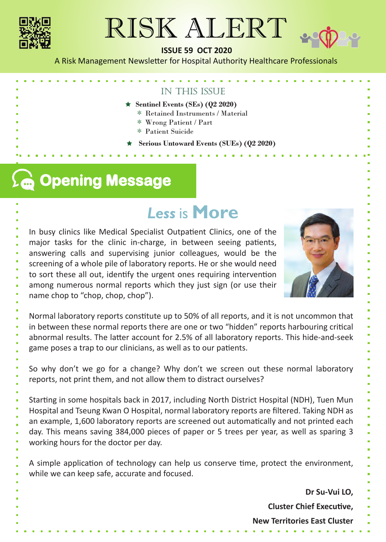

# RISK ALERT



A Risk Management Newsletter for Hospital Authority Healthcare Professionals

# in this issue

- $\star$  Sentinel Events (SEs) (Q2 2020)
	- \* Retained Instruments / Material
	- \* Wrong Patient / Part

**Service Control** 

- \* Patient Suicide
- **Serious Untoward Events (SUEs) (Q2 2020)**

# **Opening Message**

# *Less*is **More**

In busy clinics like Medical Specialist Outpatient Clinics, one of the major tasks for the clinic in-charge, in between seeing patients, answering calls and supervising junior colleagues, would be the screening of a whole pile of laboratory reports. He or she would need to sort these all out, identify the urgent ones requiring intervention among numerous normal reports which they just sign (or use their name chop to "chop, chop, chop").



Normal laboratory reports constitute up to 50% of all reports, and it is not uncommon that in between these normal reports there are one or two "hidden" reports harbouring critical abnormal results. The latter account for 2.5% of all laboratory reports. This hide-and-seek game poses a trap to our clinicians, as well as to our patients.

So why don't we go for a change? Why don't we screen out these normal laboratory reports, not print them, and not allow them to distract ourselves?

Starting in some hospitals back in 2017, including North District Hospital (NDH), Tuen Mun Hospital and Tseung Kwan O Hospital, normal laboratory reports are filtered. Taking NDH as an example, 1,600 laboratory reports are screened out automatically and not printed each day. This means saving 384,000 pieces of paper or 5 trees per year, as well as sparing 3 working hours for the doctor per day.

A simple application of technology can help us conserve time, protect the environment, while we can keep safe, accurate and focused.

**Dr Su-Vui LO,** 

**Cluster Chief Executive,** 

**New Territories East Cluster**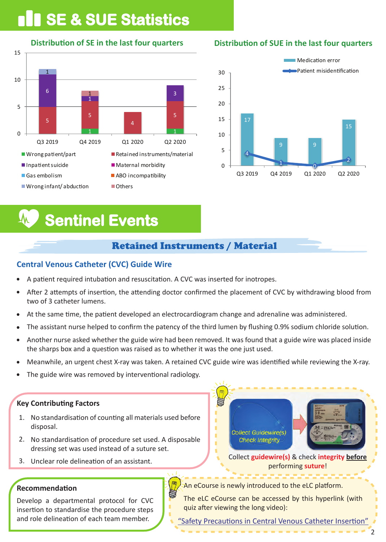# **SE & SUE Statistics**

**Distribution of SE in the last four quarters** 



# **Distribution of SUE in the last four quarters**



# **Sentinel Events**

# Retained Instruments / Material

# **Central Venous Catheter (CVC) Guide Wire**

- A patient required intubation and resuscitation. A CVC was inserted for inotropes.
- After 2 attempts of insertion, the attending doctor confirmed the placement of CVC by withdrawing blood from  $\bullet$ two of 3 catheter lumens.
- At the same time, the patient developed an electrocardiogram change and adrenaline was administered.
- The assistant nurse helped to confirm the patency of the third lumen by flushing 0.9% sodium chloride solution.
- Another nurse asked whether the guide wire had been removed. It was found that a guide wire was placed inside the sharps box and a question was raised as to whether it was the one just used.
- Meanwhile, an urgent chest X-ray was taken. A retained CVC guide wire was iden�fied while reviewing the X-ray.
- The guide wire was removed by interventional radiology.

## **Key Contributing Factors**

- 1. No standardisation of counting all materials used before disposal.
- 2. No standardisation of procedure set used. A disposable dressing set was used instead of a suture set.
- 3. Unclear role delineation of an assistant.

## **Recommendation**

Develop a departmental protocol for CVC insertion to standardise the procedure steps and role delineation of each team member.



Collect **guidewire(s)** & check **integrity before**  performing **suture**!

An eCourse is newly introduced to the eLC platform.

The eLC eCourse can be accessed by this hyperlink (with quiz after viewing the long video):

"Safety Precautions in Central Venous Catheter Insertior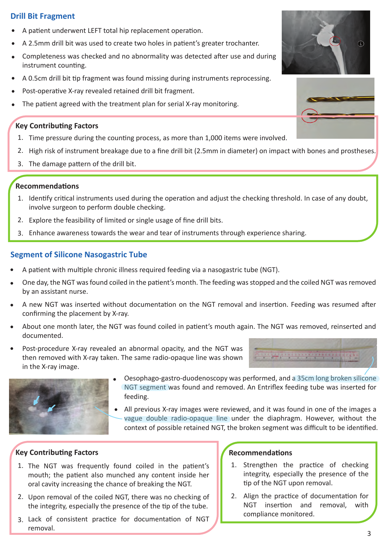# **Drill Bit Fragment**

- A patient underwent LEFT total hip replacement operation.
- A 2.5mm drill bit was used to create two holes in patient's greater trochanter.
- Completeness was checked and no abnormality was detected after use and during instrument counting.
- A 0.5cm drill bit tip fragment was found missing during instruments reprocessing.
- Post-operative X-ray revealed retained drill bit fragment.
- The patient agreed with the treatment plan for serial X-ray monitoring.

## **Key Contributing Factors**

- 1. Time pressure during the counting process, as more than 1,000 items were involved.
- 2. High risk of instrument breakage due to a fine drill bit (2.5mm in diameter) on impact with bones and prostheses.
- 3. The damage pattern of the drill bit.

# **Recommendations**

- 1. Identify critical instruments used during the operation and adjust the checking threshold. In case of any doubt, involve surgeon to perform double checking.
- 2. Explore the feasibility of limited or single usage of fine drill bits.
- 3. Enhance awareness towards the wear and tear of instruments through experience sharing.

# **Segment of Silicone Nasogastric Tube**

- A patient with multiple chronic illness required feeding via a nasogastric tube (NGT).
- One day, the NGT was found coiled in the patient's month. The feeding was stopped and the coiled NGT was removed by an assistant nurse.
- A new NGT was inserted without documentation on the NGT removal and insertion. Feeding was resumed after confirming the placement by X-ray.
- About one month later, the NGT was found coiled in patient's mouth again. The NGT was removed, reinserted and documented.
- Post-procedure X-ray revealed an abnormal opacity, and the NGT was then removed with X-ray taken. The same radio-opaque line was shown in the X-ray image.





- Oesophago-gastro-duodenoscopy was performed, and a 35cm long broken silicone NGT segment was found and removed. An Entriflex feeding tube was inserted for feeding.
- All previous X-ray images were reviewed, and it was found in one of the images a vague double radio-opaque line under the diaphragm. However, without the context of possible retained NGT, the broken segment was difficult to be identified.

## **Key Contributing Factors**

- 1. The NGT was frequently found coiled in the patient's mouth; the patient also munched any content inside her oral cavity increasing the chance of breaking the NGT.
- 2. Upon removal of the coiled NGT, there was no checking of the integrity, especially the presence of the tip of the tube.
- 3. Lack of consistent practice for documentation of NGT removal.

- 1. Strengthen the practice of checking integrity, especially the presence of the tip of the NGT upon removal.
- 2. Align the practice of documentation for NGT insertion and removal, with compliance monitored.



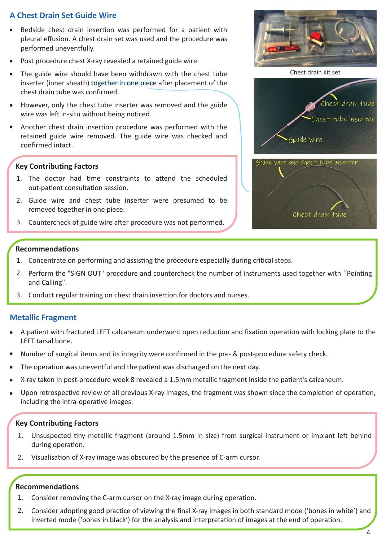# **A Chest Drain Set Guide Wire**

- Bedside chest drain insertion was performed for a patient with pleural effusion. A chest drain set was used and the procedure was performed uneventfully.
- Post procedure chest X-ray revealed a retained guide wire.
- The guide wire should have been withdrawn with the chest tube inserter (inner sheath) together in one piece after placement of the chest drain tube was confirmed.
- However, only the chest tube inserter was removed and the guide wire was left in-situ without being noticed.
- Another chest drain insertion procedure was performed with the retained guide wire removed. The guide wire was checked and confirmed intact.

#### **Key Contributing Factors**

- 1. The doctor had time constraints to attend the scheduled out-patient consultation session.
- 2. Guide wire and chest tube inserter were presumed to be removed together in one piece.
- 3. Countercheck of guide wire after procedure was not performed.







Chest drain tube

#### **Recommendations**

- 1. Concentrate on performing and assisting the procedure especially during critical steps.
- 2. Perform the "SIGN OUT" procedure and countercheck the number of instruments used together with "Pointing and Calling".
- 3. Conduct regular training on chest drain insertion for doctors and nurses.

### **Metallic Fragment**

- A patient with fractured LEFT calcaneum underwent open reduction and fixation operation with locking plate to the LEFT tarsal bone.
- Number of surgical items and its integrity were confirmed in the pre- & post-procedure safety check.
- The operation was uneventful and the patient was discharged on the next day.
- X-ray taken in post-procedure week 8 revealed a 1.5mm metallic fragment inside the patient's calcaneum.
- Upon retrospective review of all previous X-ray images, the fragment was shown since the completion of operation, including the intra-operative images.

#### **Key Contributing Factors**

- 1. Unsuspected tiny metallic fragment (around 1.5mm in size) from surgical instrument or implant left behind during operation.
- 2. Visualisation of X-ray image was obscured by the presence of C-arm cursor.

- 1. Consider removing the C-arm cursor on the X-ray image during operation.
- 2. Consider adopting good practice of viewing the final X-ray images in both standard mode ('bones in white') and inverted mode ('bones in black') for the analysis and interpretation of images at the end of operation.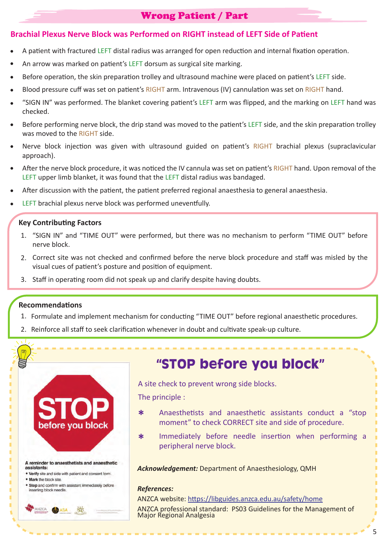# Wrong Patient / Part

## **Brachial Plexus Nerve Block was Performed on RIGHT instead of LEFT Side of Pa�ent**

- A patient with fractured LEFT distal radius was arranged for open reduction and internal fixation operation.
- An arrow was marked on patient's LEFT dorsum as surgical site marking.
- Before operation, the skin preparation trolley and ultrasound machine were placed on patient's LEFT side.
- Blood pressure cuff was set on patient's RIGHT arm. Intravenous (IV) cannulation was set on RIGHT hand.
- "SIGN IN" was performed. The blanket covering pa�ent's LEFT arm was flipped, and the marking on LEFT hand was checked.
- Before performing nerve block, the drip stand was moved to the patient's LEFT side, and the skin preparation trolley was moved to the RIGHT side.
- Nerve block injection was given with ultrasound guided on patient's RIGHT brachial plexus (supraclavicular approach).
- After the nerve block procedure, it was noticed the IV cannula was set on patient's RIGHT hand. Upon removal of the LEFT upper limb blanket, it was found that the LEFT distal radius was bandaged.
- After discussion with the patient, the patient preferred regional anaesthesia to general anaesthesia.
- LEFT brachial plexus nerve block was performed uneventfully.

### **Key Contributing Factors**

- 1. "SIGN IN" and "TIME OUT" were performed, but there was no mechanism to perform "TIME OUT" before nerve block.
- 2. Correct site was not checked and confirmed before the nerve block procedure and staff was misled by the visual cues of patient's posture and position of equipment.
- 3. Staff in operating room did not speak up and clarify despite having doubts.

#### **Recommendations**

- 1. Formulate and implement mechanism for conducting "TIME OUT" before regional anaesthetic procedures.
- 2. Reinforce all staff to seek clarification whenever in doubt and cultivate speak-up culture.



# **"STOP before you block"**

A site check to prevent wrong side blocks.

The principle :

- \* Anaesthetists and anaesthetic assistants conduct a "stop moment" to check CORRECT site and side of procedure.
- \* Immediately before needle insertion when performing a peripheral nerve block.

*Acknowledgement:* Department of Anaesthesiology, QMH

#### *References:*

ANZCA website: https://libguides.anzca.edu.au/safety/home

ANZCA professional standard: PS03 Guidelines for the Management of Major Regional Analgesia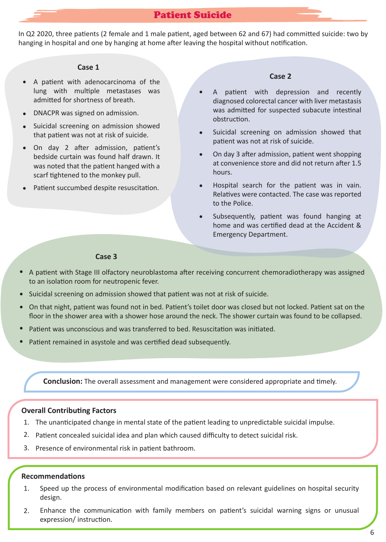In Q2 2020, three patients (2 female and 1 male patient, aged between 62 and 67) had committed suicide: two by hanging in hospital and one by hanging at home after leaving the hospital without notification.

#### **Case 1**

- A patient with adenocarcinoma of the  $\bullet$ lung with multiple metastases was admitted for shortness of breath.
- DNACPR was signed on admission.
- Suicidal screening on admission showed  $\bullet$ that patient was not at risk of suicide.
- On day 2 after admission, patient's bedside curtain was found half drawn. It was noted that the patient hanged with a scarf tightened to the monkey pull.
- Patient succumbed despite resuscitation.

#### **Case 2**

- A patient with depression and recently diagnosed colorectal cancer with liver metastasis was admitted for suspected subacute intestinal obstruction.
- Suicidal screening on admission showed that patient was not at risk of suicide.
- On day 3 after admission, patient went shopping at convenience store and did not return after 1.5 hours.
- Hospital search for the patient was in vain. Relatives were contacted. The case was reported to the Police.
- Subsequently, patient was found hanging at home and was certified dead at the Accident & Emergency Department.

#### **Case 3**

- A patient with Stage III olfactory neuroblastoma after receiving concurrent chemoradiotherapy was assigned to an isolation room for neutropenic fever.
- Suicidal screening on admission showed that patient was not at risk of suicide.
- On that night, patient was found not in bed. Patient's toilet door was closed but not locked. Patient sat on the floor in the shower area with a shower hose around the neck. The shower curtain was found to be collapsed.
- Patient was unconscious and was transferred to bed. Resuscitation was initiated.
- Patient remained in asystole and was certified dead subsequently.

**Conclusion:** The overall assessment and management were considered appropriate and timely.

#### **Overall Contributing Factors**

- 1. The unanticipated change in mental state of the patient leading to unpredictable suicidal impulse.
- 2. Patient concealed suicidal idea and plan which caused difficulty to detect suicidal risk.
- 3. Presence of environmental risk in patient bathroom.

- 1. Speed up the process of environmental modification based on relevant guidelines on hospital security design.
- 2. Enhance the communication with family members on patient's suicidal warning signs or unusual expression/instruction.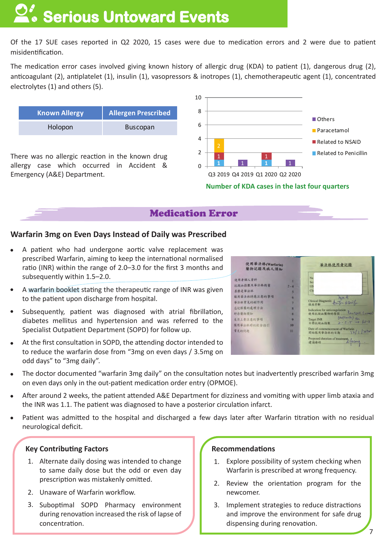# **Serious Untoward Events**

Of the 17 SUE cases reported in Q2 2020, 15 cases were due to medication errors and 2 were due to patient misidentification.

The medication error cases involved giving known history of allergic drug (KDA) to patient (1), dangerous drug (2), anticoagulant (2), antiplatelet (1), insulin (1), vasopressors & inotropes (1), chemotherapeutic agent (1), concentrated electrolytes (1) and others (5).

| <b>Known Allergy</b> | <b>Allergen Prescribed</b> |
|----------------------|----------------------------|
| Holopon              | <b>Buscopan</b>            |

There was no allergic reaction in the known drug allergy case which occurred in Accident & Emergency (A&E) Department.



**Number of KDA cases in the last four quarters** 

# Medication Error

## **Warfarin 3mg on Even Days Instead of Daily was Prescribed**

- A patient who had undergone aortic valve replacement was prescribed Warfarin, aiming to keep the international normalised ratio (INR) within the range of 2.0–3.0 for the first 3 months and subsequently within 1.5–2.0.
- A warfarin booklet stating the therapeutic range of INR was given to the patient upon discharge from hospital.
- Subsequently, patient was diagnosed with atrial fibrillation, diabetes mellitus and hypertension and was referred to the Specialist Outpatient Department (SOPD) for follow up.
- At the first consultation in SOPD, the attending doctor intended to to reduce the warfarin dose from "3mg on even days / 3.5mg on odd days" to "3mg daily".



- The doctor documented "warfarin 3mg daily" on the consultation notes but inadvertently prescribed warfarin 3mg on even days only in the out-patient medication order entry (OPMOE).
- After around 2 weeks, the patient attended A&E Department for dizziness and vomiting with upper limb ataxia and the INR was 1.1. The patient was diagnosed to have a posterior circulation infarct.
- Patient was admitted to the hospital and discharged a few days later after Warfarin titration with no residual neurological deficit.

### **Key Contributing Factors**

- 1. Alternate daily dosing was intended to change to same daily dose but the odd or even day prescription was mistakenly omitted.
- 2. Unaware of Warfarin workflow.
- 3. Suboptimal SOPD Pharmacy environment during renovation increased the risk of lapse of concentration.

- 1. Explore possibility of system checking when Warfarin is prescribed at wrong frequency.
- 2. Review the orientation program for the newcomer.
- 3. Implement strategies to reduce distractions and improve the environment for safe drug dispensing during renovation.